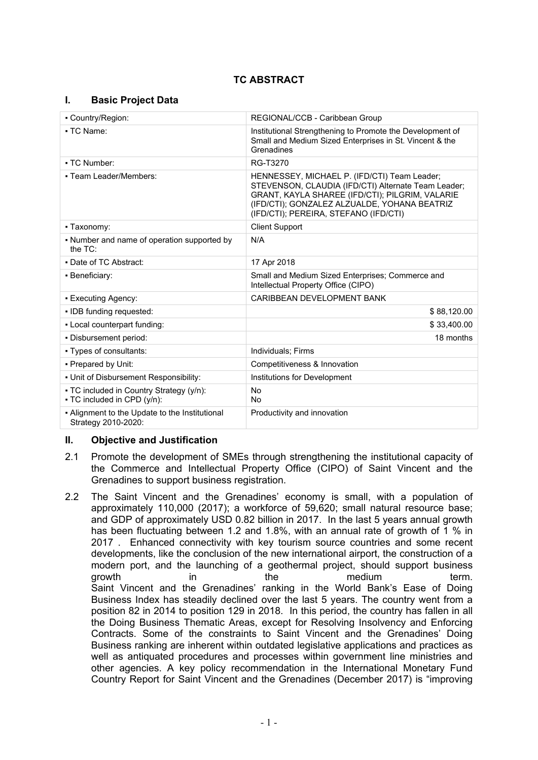# **TC ABSTRACT**

## **I. Basic Project Data**

| • Country/Region:                                                       | REGIONAL/CCB - Caribbean Group                                                                                                                                                                                                                  |  |
|-------------------------------------------------------------------------|-------------------------------------------------------------------------------------------------------------------------------------------------------------------------------------------------------------------------------------------------|--|
| • TC Name:                                                              | Institutional Strengthening to Promote the Development of<br>Small and Medium Sized Enterprises in St. Vincent & the<br>Grenadines                                                                                                              |  |
| • TC Number:                                                            | RG-T3270                                                                                                                                                                                                                                        |  |
| • Team Leader/Members:                                                  | HENNESSEY, MICHAEL P. (IFD/CTI) Team Leader;<br>STEVENSON, CLAUDIA (IFD/CTI) Alternate Team Leader;<br>GRANT, KAYLA SHAREE (IFD/CTI); PILGRIM, VALARIE<br>(IFD/CTI); GONZALEZ ALZUALDE, YOHANA BEATRIZ<br>(IFD/CTI); PEREIRA, STEFANO (IFD/CTI) |  |
| - Taxonomy:                                                             | <b>Client Support</b>                                                                                                                                                                                                                           |  |
| • Number and name of operation supported by<br>the TC:                  | N/A                                                                                                                                                                                                                                             |  |
| • Date of TC Abstract:                                                  | 17 Apr 2018                                                                                                                                                                                                                                     |  |
| - Beneficiary:                                                          | Small and Medium Sized Enterprises; Commerce and<br>Intellectual Property Office (CIPO)                                                                                                                                                         |  |
| • Executing Agency:                                                     | CARIBBEAN DEVELOPMENT BANK                                                                                                                                                                                                                      |  |
| • IDB funding requested:                                                | \$88,120.00                                                                                                                                                                                                                                     |  |
| - Local counterpart funding:                                            | \$33,400.00                                                                                                                                                                                                                                     |  |
| - Disbursement period:                                                  | 18 months                                                                                                                                                                                                                                       |  |
| • Types of consultants:                                                 | Individuals; Firms                                                                                                                                                                                                                              |  |
| - Prepared by Unit:                                                     | Competitiveness & Innovation                                                                                                                                                                                                                    |  |
| - Unit of Disbursement Responsibility:                                  | Institutions for Development                                                                                                                                                                                                                    |  |
| • TC included in Country Strategy (y/n):<br>- TC included in CPD (y/n): | <b>No</b><br><b>No</b>                                                                                                                                                                                                                          |  |
| - Alignment to the Update to the Institutional<br>Strategy 2010-2020:   | Productivity and innovation                                                                                                                                                                                                                     |  |

## **II. Objective and Justification**

- 2.1 Promote the development of SMEs through strengthening the institutional capacity of the Commerce and Intellectual Property Office (CIPO) of Saint Vincent and the Grenadines to support business registration.
- 2.2 The Saint Vincent and the Grenadines' economy is small, with a population of approximately 110,000 (2017); a workforce of 59,620; small natural resource base; and GDP of approximately USD 0.82 billion in 2017. In the last 5 years annual growth has been fluctuating between 1.2 and 1.8%, with an annual rate of growth of 1 % in 2017 . Enhanced connectivity with key tourism source countries and some recent developments, like the conclusion of the new international airport, the construction of a modern port, and the launching of a geothermal project, should support business growth in the medium term. Saint Vincent and the Grenadines' ranking in the World Bank's Ease of Doing Business Index has steadily declined over the last 5 years. The country went from a position 82 in 2014 to position 129 in 2018. In this period, the country has fallen in all the Doing Business Thematic Areas, except for Resolving Insolvency and Enforcing Contracts. Some of the constraints to Saint Vincent and the Grenadines' Doing Business ranking are inherent within outdated legislative applications and practices as well as antiquated procedures and processes within government line ministries and other agencies. A key policy recommendation in the International Monetary Fund Country Report for Saint Vincent and the Grenadines (December 2017) is "improving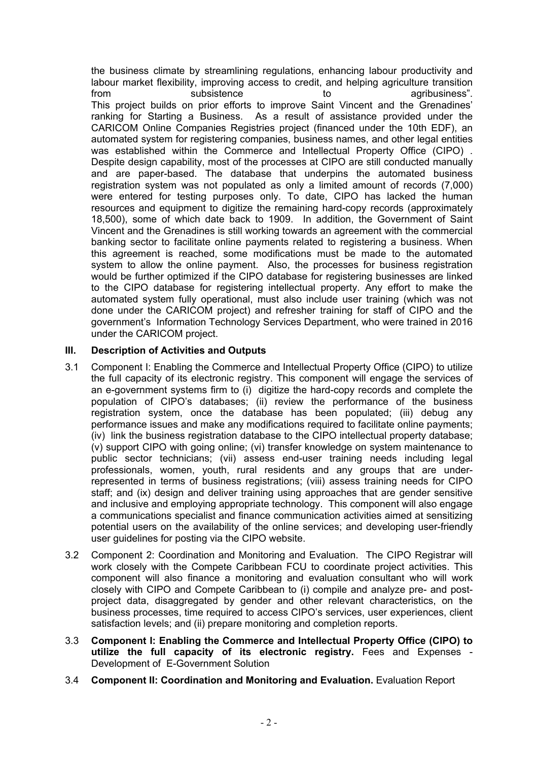the business climate by streamlining regulations, enhancing labour productivity and labour market flexibility, improving access to credit, and helping agriculture transition from subsistence to to agribusiness". This project builds on prior efforts to improve Saint Vincent and the Grenadines' ranking for Starting a Business. As a result of assistance provided under the CARICOM Online Companies Registries project (financed under the 10th EDF), an automated system for registering companies, business names, and other legal entities was established within the Commerce and Intellectual Property Office (CIPO) . Despite design capability, most of the processes at CIPO are still conducted manually and are paper-based. The database that underpins the automated business registration system was not populated as only a limited amount of records (7,000) were entered for testing purposes only. To date, CIPO has lacked the human resources and equipment to digitize the remaining hard-copy records (approximately 18,500), some of which date back to 1909. In addition, the Government of Saint Vincent and the Grenadines is still working towards an agreement with the commercial banking sector to facilitate online payments related to registering a business. When this agreement is reached, some modifications must be made to the automated system to allow the online payment. Also, the processes for business registration would be further optimized if the CIPO database for registering businesses are linked to the CIPO database for registering intellectual property. Any effort to make the automated system fully operational, must also include user training (which was not done under the CARICOM project) and refresher training for staff of CIPO and the government's Information Technology Services Department, who were trained in 2016 under the CARICOM project.

## **III. Description of Activities and Outputs**

- 3.1 Component I: Enabling the Commerce and Intellectual Property Office (CIPO) to utilize the full capacity of its electronic registry. This component will engage the services of an e-government systems firm to (i) digitize the hard-copy records and complete the population of CIPO's databases; (ii) review the performance of the business registration system, once the database has been populated; (iii) debug any performance issues and make any modifications required to facilitate online payments; (iv) link the business registration database to the CIPO intellectual property database; (v) support CIPO with going online; (vi) transfer knowledge on system maintenance to public sector technicians; (vii) assess end-user training needs including legal professionals, women, youth, rural residents and any groups that are underrepresented in terms of business registrations; (viii) assess training needs for CIPO staff; and (ix) design and deliver training using approaches that are gender sensitive and inclusive and employing appropriate technology. This component will also engage a communications specialist and finance communication activities aimed at sensitizing potential users on the availability of the online services; and developing user-friendly user guidelines for posting via the CIPO website.
- 3.2 Component 2: Coordination and Monitoring and Evaluation. The CIPO Registrar will work closely with the Compete Caribbean FCU to coordinate project activities. This component will also finance a monitoring and evaluation consultant who will work closely with CIPO and Compete Caribbean to (i) compile and analyze pre- and postproject data, disaggregated by gender and other relevant characteristics, on the business processes, time required to access CIPO's services, user experiences, client satisfaction levels; and (ii) prepare monitoring and completion reports.
- 3.3 **Component I: Enabling the Commerce and Intellectual Property Office (CIPO) to utilize the full capacity of its electronic registry.** Fees and Expenses - Development of E-Government Solution
- 3.4 **Component II: Coordination and Monitoring and Evaluation.** Evaluation Report